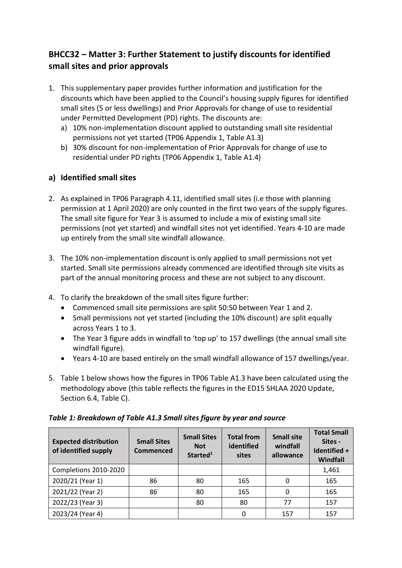# **BHCC32 – Matter 3: Further Statement to justify discounts for identified small sites and prior approvals**

- 1. This supplementary paper provides further information and justification for the discounts which have been applied to the Council's housing supply figures for identified small sites (5 or less dwellings) and Prior Approvals for change of use to residential under Permitted Development (PD) rights. The discounts are:
	- a) 10% non-implementation discount applied to outstanding small site residential permissions not yet started (TP06 Appendix 1, Table A1.3)
	- b) 30% discount for non-implementation of Prior Approvals for change of use to residential under PD rights (TP06 Appendix 1, Table A1.4)

# **a) Identified small sites**

- 2. As explained in TP06 Paragraph 4.11, identified small sites (i.e those with planning permission at 1 April 2020) are only counted in the first two years of the supply figures. The small site figure for Year 3 is assumed to include a mix of existing small site permissions (not yet started) and windfall sites not yet identified. Years 4-10 are made up entirely from the small site windfall allowance.
- 3. The 10% non-implementation discount is only applied to small permissions not yet started. Small site permissions already commenced are identified through site visits as part of the annual monitoring process and these are not subject to any discount.
- 4. To clarify the breakdown of the small sites figure further:
	- Commenced small site permissions are split 50:50 between Year 1 and 2.
	- Small permissions not yet started (including the 10% discount) are split equally across Years 1 to 3.
	- The Year 3 figure adds in windfall to 'top up' to 157 dwellings (the annual small site windfall figure).
	- Years 4-10 are based entirely on the small windfall allowance of 157 dwellings/year.
- 5. Table 1 below shows how the figures in TP06 Table A1.3 have been calculated using the methodology above (this table reflects the figures in the ED15 SHLAA 2020 Update, Section 6.4, Table C).

| <b>Expected distribution</b><br>of identified supply | <b>Small Sites</b><br><b>Commenced</b> | <b>Small Sites</b><br><b>Not</b><br>Started <sup>1</sup> | <b>Total from</b><br>identified<br>sites | <b>Small site</b><br>windfall<br>allowance | <b>Total Small</b><br>Sites -<br>Identified +<br>Windfall |
|------------------------------------------------------|----------------------------------------|----------------------------------------------------------|------------------------------------------|--------------------------------------------|-----------------------------------------------------------|
| Completions 2010-2020                                |                                        |                                                          |                                          |                                            | 1,461                                                     |
| 2020/21 (Year 1)                                     | 86                                     | 80                                                       | 165                                      | 0                                          | 165                                                       |
| 2021/22 (Year 2)                                     | 86                                     | 80                                                       | 165                                      | 0                                          | 165                                                       |
| 2022/23 (Year 3)                                     |                                        | 80                                                       | 80                                       | 77                                         | 157                                                       |
| 2023/24 (Year 4)                                     |                                        |                                                          | $\Omega$                                 | 157                                        | 157                                                       |

# *Table 1: Breakdown of Table A1.3 Small sites figure by year and source*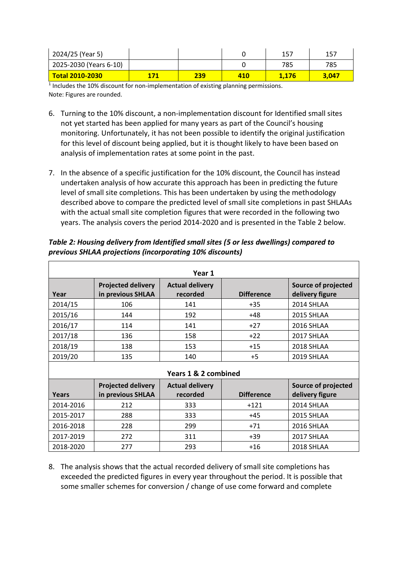| 2024/25 (Year 5)       |     |     | 157   | 157   |
|------------------------|-----|-----|-------|-------|
| 2025-2030 (Years 6-10) |     |     | 785   | 785   |
| <b>Total 2010-2030</b> | 239 | 410 | 1.176 | 3.047 |

 $<sup>1</sup>$  Includes the 10% discount for non-implementation of existing planning permissions.</sup> Note: Figures are rounded.

- 6. Turning to the 10% discount, a non-implementation discount for Identified small sites not yet started has been applied for many years as part of the Council's housing monitoring. Unfortunately, it has not been possible to identify the original justification for this level of discount being applied, but it is thought likely to have been based on analysis of implementation rates at some point in the past.
- 7. In the absence of a specific justification for the 10% discount, the Council has instead undertaken analysis of how accurate this approach has been in predicting the future level of small site completions. This has been undertaken by using the methodology described above to compare the predicted level of small site completions in past SHLAAs with the actual small site completion figures that were recorded in the following two years. The analysis covers the period 2014-2020 and is presented in the Table 2 below.

| Year 1               |                                                |                                    |                   |                                        |  |
|----------------------|------------------------------------------------|------------------------------------|-------------------|----------------------------------------|--|
| Year                 | <b>Projected delivery</b><br>in previous SHLAA | <b>Actual delivery</b><br>recorded | <b>Difference</b> | Source of projected<br>delivery figure |  |
| 2014/15              | 106                                            | 141                                | $+35$             | 2014 SHLAA                             |  |
| 2015/16              | 144                                            | 192                                | +48               | 2015 SHLAA                             |  |
| 2016/17              | 114                                            | 141                                | $+27$             | 2016 SHLAA                             |  |
| 2017/18              | 136                                            | 158                                | $+22$             | 2017 SHLAA                             |  |
| 2018/19              | 138                                            | 153                                | $+15$             | 2018 SHLAA                             |  |
| 2019/20              | 135                                            | 140                                | $+5$              | 2019 SHLAA                             |  |
| Years 1 & 2 combined |                                                |                                    |                   |                                        |  |
| <b>Years</b>         | <b>Projected delivery</b><br>in previous SHLAA | <b>Actual delivery</b><br>recorded | <b>Difference</b> | Source of projected<br>delivery figure |  |
| 2014-2016            | 212                                            | 333                                | $+121$            | 2014 SHLAA                             |  |
| 2015-2017            | 288                                            | 333                                | $+45$             | 2015 SHLAA                             |  |
| 2016-2018            | 228                                            | 299                                | $+71$             | 2016 SHLAA                             |  |
| 2017-2019            | 272                                            | 311                                | $+39$             | 2017 SHLAA                             |  |
| 2018-2020            | 277                                            | 293                                | $+16$             | 2018 SHLAA                             |  |

*Table 2: Housing delivery from Identified small sites (5 or less dwellings) compared to previous SHLAA projections (incorporating 10% discounts)*

8. The analysis shows that the actual recorded delivery of small site completions has exceeded the predicted figures in every year throughout the period. It is possible that some smaller schemes for conversion / change of use come forward and complete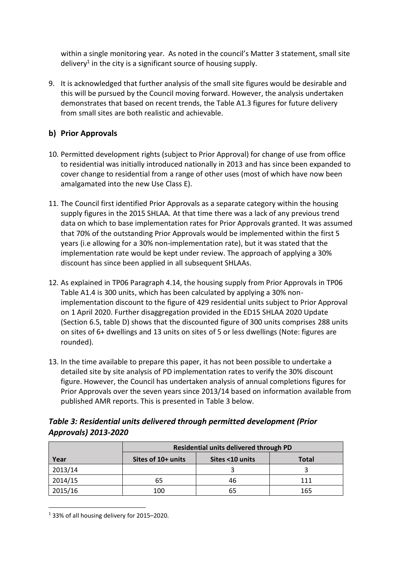within a single monitoring year. As noted in the council's Matter 3 statement, small site delivery<sup>1</sup> in the city is a significant source of housing supply.

9. It is acknowledged that further analysis of the small site figures would be desirable and this will be pursued by the Council moving forward. However, the analysis undertaken demonstrates that based on recent trends, the Table A1.3 figures for future delivery from small sites are both realistic and achievable.

# **b) Prior Approvals**

- 10. Permitted development rights (subject to Prior Approval) for change of use from office to residential was initially introduced nationally in 2013 and has since been expanded to cover change to residential from a range of other uses (most of which have now been amalgamated into the new Use Class E).
- 11. The Council first identified Prior Approvals as a separate category within the housing supply figures in the 2015 SHLAA. At that time there was a lack of any previous trend data on which to base implementation rates for Prior Approvals granted. It was assumed that 70% of the outstanding Prior Approvals would be implemented within the first 5 years (i.e allowing for a 30% non-implementation rate), but it was stated that the implementation rate would be kept under review. The approach of applying a 30% discount has since been applied in all subsequent SHLAAs.
- 12. As explained in TP06 Paragraph 4.14, the housing supply from Prior Approvals in TP06 Table A1.4 is 300 units, which has been calculated by applying a 30% nonimplementation discount to the figure of 429 residential units subject to Prior Approval on 1 April 2020. Further disaggregation provided in the ED15 SHLAA 2020 Update (Section 6.5, table D) shows that the discounted figure of 300 units comprises 288 units on sites of 6+ dwellings and 13 units on sites of 5 or less dwellings (Note: figures are rounded).
- 13. In the time available to prepare this paper, it has not been possible to undertake a detailed site by site analysis of PD implementation rates to verify the 30% discount figure. However, the Council has undertaken analysis of annual completions figures for Prior Approvals over the seven years since 2013/14 based on information available from published AMR reports. This is presented in Table 3 below.

# *Table 3: Residential units delivered through permitted development (Prior Approvals) 2013-2020*

|         | Residential units delivered through PD |                 |       |  |
|---------|----------------------------------------|-----------------|-------|--|
| Year    | Sites of 10+ units                     | Sites <10 units | Total |  |
| 2013/14 |                                        |                 |       |  |
| 2014/15 | 65                                     | 46              | 111   |  |
| 2015/16 | 100                                    | 65              | 165   |  |

<sup>&</sup>lt;sup>1</sup> 33% of all housing delivery for 2015-2020.